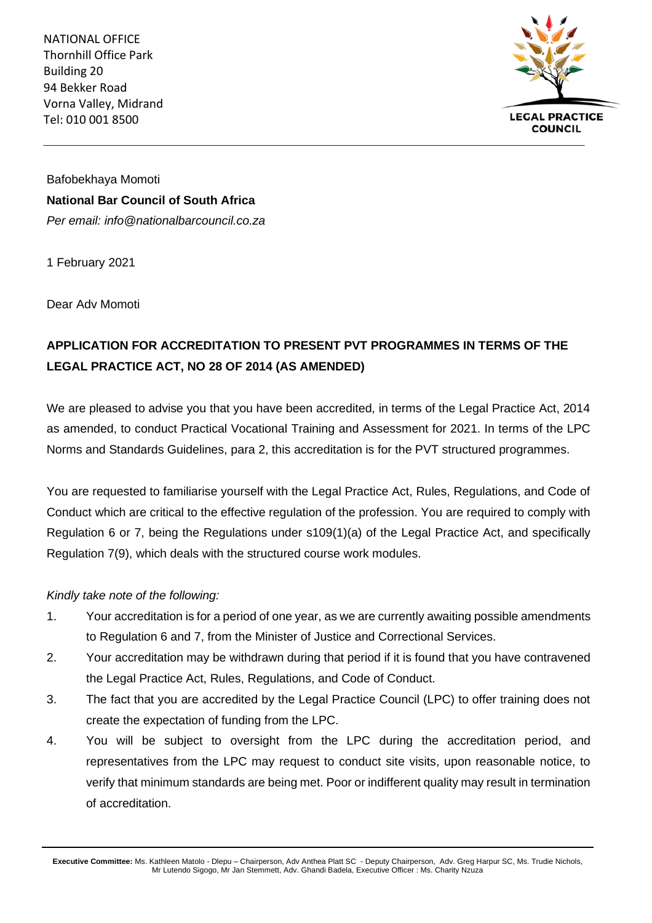NATIONAL OFFICE Thornhill Office Park Building 20 94 Bekker Road Vorna Valley, Midrand Tel: 010 001 8500



Bafobekhaya Momoti **National Bar Council of South Africa** *Per email: info@nationalbarcouncil.co.za*

1 February 2021

Dear Adv Momoti

## **APPLICATION FOR ACCREDITATION TO PRESENT PVT PROGRAMMES IN TERMS OF THE LEGAL PRACTICE ACT, NO 28 OF 2014 (AS AMENDED)**

We are pleased to advise you that you have been accredited, in terms of the Legal Practice Act, 2014 as amended, to conduct Practical Vocational Training and Assessment for 2021. In terms of the LPC Norms and Standards Guidelines, para 2, this accreditation is for the PVT structured programmes.

You are requested to familiarise yourself with the Legal Practice Act, Rules, Regulations, and Code of Conduct which are critical to the effective regulation of the profession. You are required to comply with Regulation 6 or 7, being the Regulations under s109(1)(a) of the Legal Practice Act, and specifically Regulation 7(9), which deals with the structured course work modules.

*Kindly take note of the following:*

- 1. Your accreditation is for a period of one year, as we are currently awaiting possible amendments to Regulation 6 and 7, from the Minister of Justice and Correctional Services.
- 2. Your accreditation may be withdrawn during that period if it is found that you have contravened the Legal Practice Act, Rules, Regulations, and Code of Conduct.
- 3. The fact that you are accredited by the Legal Practice Council (LPC) to offer training does not create the expectation of funding from the LPC.
- 4. You will be subject to oversight from the LPC during the accreditation period, and representatives from the LPC may request to conduct site visits, upon reasonable notice, to verify that minimum standards are being met. Poor or indifferent quality may result in termination of accreditation.